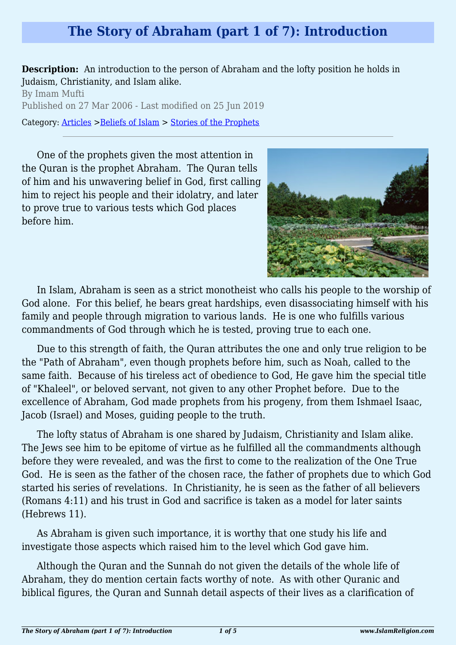## **The Story of Abraham (part 1 of 7): Introduction**

**Description:** An introduction to the person of Abraham and the lofty position he holds in Judaism, Christianity, and Islam alike.

By Imam Mufti Published on 27 Mar 2006 - Last modified on 25 Jun 2019 Category: [Articles](http://www.islamreligion.com/articles/) >[Beliefs of Islam](http://www.islamreligion.com/category/48/) > [Stories of the Prophets](http://www.islamreligion.com/category/53/)

One of the prophets given the most attention in the Quran is the prophet Abraham. The Quran tells of him and his unwavering belief in God, first calling him to reject his people and their idolatry, and later to prove true to various tests which God places before him.



In Islam, Abraham is seen as a strict monotheist who calls his people to the worship of God alone. For this belief, he bears great hardships, even disassociating himself with his family and people through migration to various lands. He is one who fulfills various commandments of God through which he is tested, proving true to each one.

Due to this strength of faith, the Quran attributes the one and only true religion to be the "Path of Abraham", even though prophets before him, such as Noah, called to the same faith. Because of his tireless act of obedience to God, He gave him the special title of "Khaleel", or beloved servant, not given to any other Prophet before. Due to the excellence of Abraham, God made prophets from his progeny, from them Ishmael Isaac, Jacob (Israel) and Moses, guiding people to the truth.

The lofty status of Abraham is one shared by Judaism, Christianity and Islam alike. The Jews see him to be epitome of virtue as he fulfilled all the commandments although before they were revealed, and was the first to come to the realization of the One True God. He is seen as the father of the chosen race, the father of prophets due to which God started his series of revelations. In Christianity, he is seen as the father of all believers (Romans 4:11) and his trust in God and sacrifice is taken as a model for later saints (Hebrews 11).

As Abraham is given such importance, it is worthy that one study his life and investigate those aspects which raised him to the level which God gave him.

Although the Quran and the Sunnah do not given the details of the whole life of Abraham, they do mention certain facts worthy of note. As with other Quranic and biblical figures, the Quran and Sunnah detail aspects of their lives as a clarification of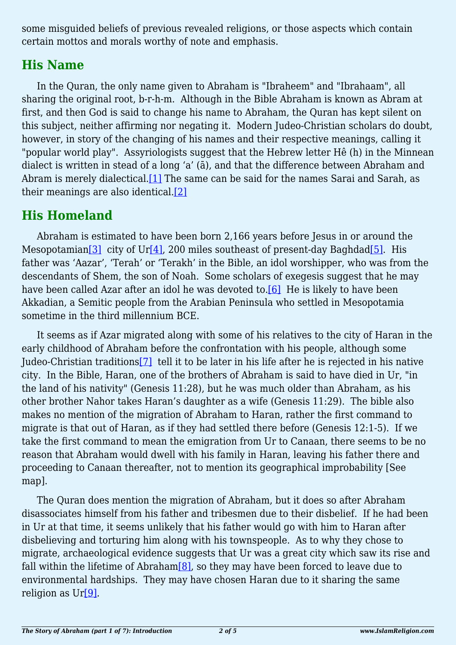some misguided beliefs of previous revealed religions, or those aspects which contain certain mottos and morals worthy of note and emphasis.

#### **His Name**

In the Quran, the only name given to Abraham is "Ibraheem" and "Ibrahaam", all sharing the original root, b-r-h-m. Although in the Bible Abraham is known as Abram at first, and then God is said to change his name to Abraham, the Quran has kept silent on this subject, neither affirming nor negating it. Modern Judeo-Christian scholars do doubt, however, in story of the changing of his names and their respective meanings, calling it "popular world play". Assyriologists suggest that the Hebrew letter Hê (h) in the Minnean dialect is written in stead of a long 'a' (ā), and that the difference between Abraham and Abram is merely dialectical.<sup>[\[1\]](#page-3-0)</sup> The same can be said for the names Sarai and Sarah, as their meanings are also identical[.\[2\]](#page-3-1)

# <span id="page-1-1"></span><span id="page-1-0"></span>**His Homeland**

<span id="page-1-2"></span>Abraham is estimated to have been born 2,166 years before Jesus in or around the Mesopotamian<sup>[2]</sup> city of Ur<sup>[\[4\]](#page-3-3)</sup>, 200 miles southeast of present-day Baghdad<sup>[5]</sup>. His father was 'Aazar', 'Terah' or 'Terakh' in the Bible, an idol worshipper, who was from the descendants of Shem, the son of Noah. Some scholars of exegesis suggest that he may have been called Azar after an idol he was devoted to.<sup>[6]</sup> He is likely to have been Akkadian, a Semitic people from the Arabian Peninsula who settled in Mesopotamia sometime in the third millennium BCE.

<span id="page-1-4"></span><span id="page-1-3"></span>It seems as if Azar migrated along with some of his relatives to the city of Haran in the early childhood of Abraham before the confrontation with his people, although some Judeo-Christian traditions[\[7\]](#page-3-6) tell it to be later in his life after he is rejected in his native city. In the Bible, Haran, one of the brothers of Abraham is said to have died in Ur, "in the land of his nativity" (Genesis 11:28), but he was much older than Abraham, as his other brother Nahor takes Haran's daughter as a wife (Genesis 11:29). The bible also makes no mention of the migration of Abraham to Haran, rather the first command to migrate is that out of Haran, as if they had settled there before (Genesis 12:1-5). If we take the first command to mean the emigration from Ur to Canaan, there seems to be no reason that Abraham would dwell with his family in Haran, leaving his father there and proceeding to Canaan thereafter, not to mention its geographical improbability [See map].

<span id="page-1-6"></span><span id="page-1-5"></span>The Quran does mention the migration of Abraham, but it does so after Abraham disassociates himself from his father and tribesmen due to their disbelief. If he had been in Ur at that time, it seems unlikely that his father would go with him to Haran after disbelieving and torturing him along with his townspeople. As to why they chose to migrate, archaeological evidence suggests that Ur was a great city which saw its rise and fall within the lifetime of Abraham[\[8\]](#page-4-0), so they may have been forced to leave due to environmental hardships. They may have chosen Haran due to it sharing the same religion as Ur<sup>[9]</sup>.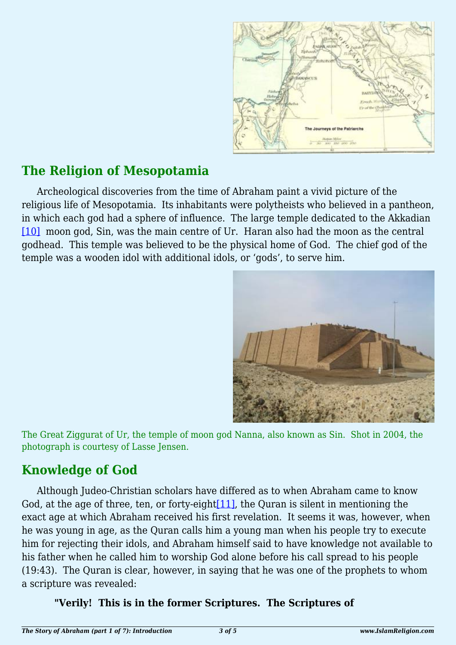

### **The Religion of Mesopotamia**

<span id="page-2-0"></span>Archeological discoveries from the time of Abraham paint a vivid picture of the religious life of Mesopotamia. Its inhabitants were polytheists who believed in a pantheon, in which each god had a sphere of influence. The large temple dedicated to the Akkadian [\[10\]](#page-4-2) moon god, Sin, was the main centre of Ur. Haran also had the moon as the central godhead. This temple was believed to be the physical home of God. The chief god of the temple was a wooden idol with additional idols, or 'gods', to serve him.



The Great Ziggurat of Ur, the temple of moon god Nanna, also known as Sin. Shot in 2004, the photograph is courtesy of Lasse Jensen.

### **Knowledge of God**

<span id="page-2-1"></span>Although Judeo-Christian scholars have differed as to when Abraham came to know God, at the age of three, ten, or forty-eight $[11]$ , the Quran is silent in mentioning the exact age at which Abraham received his first revelation. It seems it was, however, when he was young in age, as the Quran calls him a young man when his people try to execute him for rejecting their idols, and Abraham himself said to have knowledge not available to his father when he called him to worship God alone before his call spread to his people (19:43). The Quran is clear, however, in saying that he was one of the prophets to whom a scripture was revealed:

#### **"Verily! This is in the former Scriptures. The Scriptures of**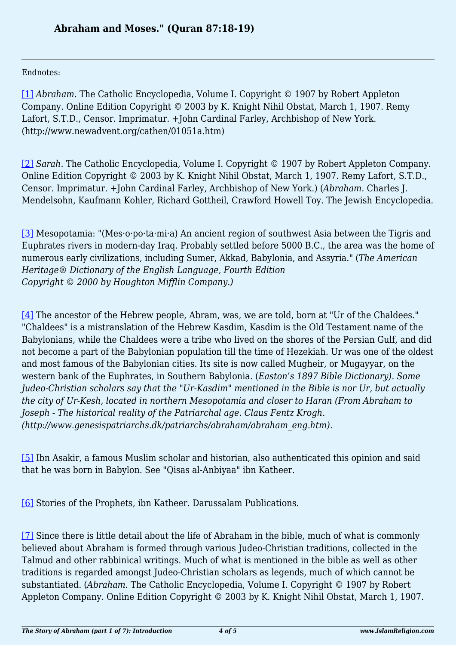Endnotes:

<span id="page-3-0"></span>[\[1\]](#page-1-0) *Abraham*. The Catholic Encyclopedia, Volume I. Copyright © 1907 by Robert Appleton Company. Online Edition Copyright © 2003 by K. Knight Nihil Obstat, March 1, 1907. Remy Lafort, S.T.D., Censor. Imprimatur. +John Cardinal Farley, Archbishop of New York. (http://www.newadvent.org/cathen/01051a.htm)

<span id="page-3-1"></span>[\[2\]](#page-1-1) *Sarah*. The Catholic Encyclopedia, Volume I. Copyright © 1907 by Robert Appleton Company. Online Edition Copyright © 2003 by K. Knight Nihil Obstat, March 1, 1907. Remy Lafort, S.T.D., Censor. Imprimatur. +John Cardinal Farley, Archbishop of New York.) (*Abraham*. Charles J. Mendelsohn, Kaufmann Kohler, Richard Gottheil, Crawford Howell Toy. The Jewish Encyclopedia.

<span id="page-3-2"></span>[\[3\]](#page-1-2) Mesopotamia: "(Mes·o·po·ta·mi·a) An ancient region of southwest Asia between the Tigris and Euphrates rivers in modern-day Iraq. Probably settled before 5000 B.C., the area was the home of numerous early civilizations, including Sumer, Akkad, Babylonia, and Assyria." (*The American Heritage® Dictionary of the English Language, Fourth Edition Copyright © 2000 by Houghton Mifflin Company.)*

<span id="page-3-3"></span>[\[4\]](#page-1-2) The ancestor of the Hebrew people, Abram, was, we are told, born at "Ur of the Chaldees." "Chaldees" is a mistranslation of the Hebrew Kasdim, Kasdim is the Old Testament name of the Babylonians, while the Chaldees were a tribe who lived on the shores of the Persian Gulf, and did not become a part of the Babylonian population till the time of Hezekiah. Ur was one of the oldest and most famous of the Babylonian cities. Its site is now called Mugheir, or Mugayyar, on the western bank of the Euphrates, in Southern Babylonia. (*Easton's 1897 Bible Dictionary). Some Judeo-Christian scholars say that the "Ur-Kasdim" mentioned in the Bible is nor Ur, but actually the city of Ur-Kesh, located in northern Mesopotamia and closer to Haran (From Abraham to Joseph - The historical reality of the Patriarchal age. Claus Fentz Krogh. (http://www.genesispatriarchs.dk/patriarchs/abraham/abraham\_eng.htm).*

<span id="page-3-4"></span>[\[5\]](#page-1-2) Ibn Asakir, a famous Muslim scholar and historian, also authenticated this opinion and said that he was born in Babylon. See "Qisas al-Anbiyaa" ibn Katheer.

<span id="page-3-5"></span>[\[6\]](#page-1-3) Stories of the Prophets, ibn Katheer. Darussalam Publications.

<span id="page-3-6"></span>[\[7\]](#page-1-4) Since there is little detail about the life of Abraham in the bible, much of what is commonly believed about Abraham is formed through various Judeo-Christian traditions, collected in the Talmud and other rabbinical writings. Much of what is mentioned in the bible as well as other traditions is regarded amongst Judeo-Christian scholars as legends, much of which cannot be substantiated. (*Abraham*. The Catholic Encyclopedia, Volume I. Copyright © 1907 by Robert Appleton Company. Online Edition Copyright © 2003 by K. Knight Nihil Obstat, March 1, 1907.